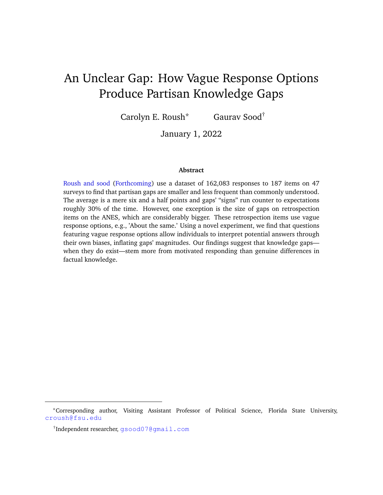# <span id="page-0-0"></span>An Unclear Gap: How Vague Response Options Produce Partisan Knowledge Gaps

Carolyn E. Roush\* Gaurav Sood†

January 1, 2022

#### **Abstract**

[Roush and sood](#page-12-0) [\(Forthcoming\)](#page-12-0) use a dataset of 162,083 responses to 187 items on 47 surveys to find that partisan gaps are smaller and less frequent than commonly understood. The average is a mere six and a half points and gaps' "signs" run counter to expectations roughly 30% of the time. However, one exception is the size of gaps on retrospection items on the ANES, which are considerably bigger. These retrospection items use vague response options, e.g., 'About the same.' Using a novel experiment, we find that questions featuring vague response options allow individuals to interpret potential answers through their own biases, inflating gaps' magnitudes. Our findings suggest that knowledge gaps when they do exist—stem more from motivated responding than genuine differences in factual knowledge.

<sup>\*</sup>Corresponding author, Visiting Assistant Professor of Political Science, Florida State University, [croush@fsu.edu](mailto:croush@fsu.edu)

<sup>†</sup> Independent researcher, [gsood07@gmail.com](mailto:gsood07@gmail.com)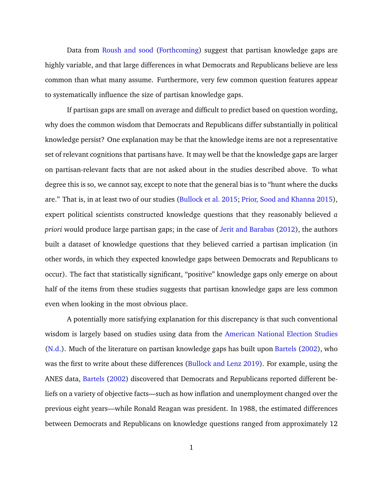Data from [Roush and sood](#page-12-0) [\(Forthcoming\)](#page-12-0) suggest that partisan knowledge gaps are highly variable, and that large differences in what Democrats and Republicans believe are less common than what many assume. Furthermore, very few common question features appear to systematically influence the size of partisan knowledge gaps.

If partisan gaps are small on average and difficult to predict based on question wording, why does the common wisdom that Democrats and Republicans differ substantially in political knowledge persist? One explanation may be that the knowledge items are not a representative set of relevant cognitions that partisans have. It may well be that the knowledge gaps are larger on partisan-relevant facts that are not asked about in the studies described above. To what degree this is so, we cannot say, except to note that the general bias is to "hunt where the ducks are." That is, in at least two of our studies [\(Bullock et al.](#page-11-0) [2015;](#page-11-0) [Prior, Sood and Khanna](#page-12-1) [2015\)](#page-12-1), expert political scientists constructed knowledge questions that they reasonably believed *a priori* would produce large partisan gaps; in the case of [Jerit and Barabas](#page-11-1) [\(2012\)](#page-11-1), the authors built a dataset of knowledge questions that they believed carried a partisan implication (in other words, in which they expected knowledge gaps between Democrats and Republicans to occur). The fact that statistically significant, "positive" knowledge gaps only emerge on about half of the items from these studies suggests that partisan knowledge gaps are less common even when looking in the most obvious place.

A potentially more satisfying explanation for this discrepancy is that such conventional wisdom is largely based on studies using data from the [American National Election Studies](#page-10-0) [\(N.d.\)](#page-10-0). Much of the literature on partisan knowledge gaps has built upon [Bartels](#page-10-1) [\(2002\)](#page-10-1), who was the first to write about these differences [\(Bullock and Lenz](#page-11-2) [2019\)](#page-11-2). For example, using the ANES data, [Bartels](#page-10-1) [\(2002\)](#page-10-1) discovered that Democrats and Republicans reported different beliefs on a variety of objective facts—such as how inflation and unemployment changed over the previous eight years—while Ronald Reagan was president. In 1988, the estimated differences between Democrats and Republicans on knowledge questions ranged from approximately 12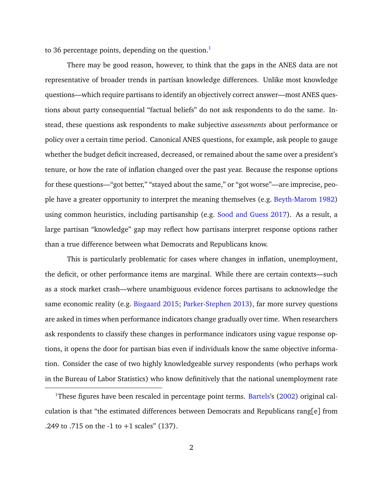to 36 percentage points, depending on the question. $<sup>1</sup>$  $<sup>1</sup>$  $<sup>1</sup>$ </sup>

There may be good reason, however, to think that the gaps in the ANES data are not representative of broader trends in partisan knowledge differences. Unlike most knowledge questions—which require partisans to identify an objectively correct answer—most ANES questions about party consequential "factual beliefs" do not ask respondents to do the same. Instead, these questions ask respondents to make subjective *assessments* about performance or policy over a certain time period. Canonical ANES questions, for example, ask people to gauge whether the budget deficit increased, decreased, or remained about the same over a president's tenure, or how the rate of inflation changed over the past year. Because the response options for these questions—"got better," "stayed about the same," or "got worse"—are imprecise, people have a greater opportunity to interpret the meaning themselves (e.g. [Beyth-Marom](#page-11-3) [1982\)](#page-11-3) using common heuristics, including partisanship (e.g. [Sood and Guess](#page-12-2) [2017\)](#page-12-2). As a result, a large partisan "knowledge" gap may reflect how partisans interpret response options rather than a true difference between what Democrats and Republicans know.

This is particularly problematic for cases where changes in inflation, unemployment, the deficit, or other performance items are marginal. While there are certain contexts—such as a stock market crash—where unambiguous evidence forces partisans to acknowledge the same economic reality (e.g. [Bisgaard](#page-11-4) [2015;](#page-11-4) [Parker-Stephen](#page-12-3) [2013\)](#page-12-3), far more survey questions are asked in times when performance indicators change gradually over time. When researchers ask respondents to classify these changes in performance indicators using vague response options, it opens the door for partisan bias even if individuals know the same objective information. Consider the case of two highly knowledgeable survey respondents (who perhaps work in the Bureau of Labor Statistics) who know definitively that the national unemployment rate

<sup>&</sup>lt;sup>1</sup>These figures have been rescaled in percentage point terms. [Bartels'](#page-10-1)s [\(2002\)](#page-10-1) original calculation is that "the estimated differences between Democrats and Republicans rang[e] from .249 to .715 on the -1 to +1 scales" (137).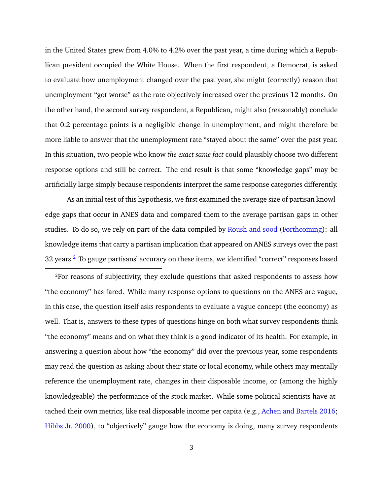in the United States grew from 4.0% to 4.2% over the past year, a time during which a Republican president occupied the White House. When the first respondent, a Democrat, is asked to evaluate how unemployment changed over the past year, she might (correctly) reason that unemployment "got worse" as the rate objectively increased over the previous 12 months. On the other hand, the second survey respondent, a Republican, might also (reasonably) conclude that 0.2 percentage points is a negligible change in unemployment, and might therefore be more liable to answer that the unemployment rate "stayed about the same" over the past year. In this situation, two people who know *the exact same fact* could plausibly choose two different response options and still be correct. The end result is that some "knowledge gaps" may be artificially large simply because respondents interpret the same response categories differently.

As an initial test of this hypothesis, we first examined the average size of partisan knowledge gaps that occur in ANES data and compared them to the average partisan gaps in other studies. To do so, we rely on part of the data compiled by [Roush and sood](#page-12-0) [\(Forthcoming\)](#page-12-0): all knowledge items that carry a partisan implication that appeared on ANES surveys over the past 3[2](#page-0-0) years.<sup>2</sup> To gauge partisans' accuracy on these items, we identified "correct" responses based

<sup>2</sup>For reasons of subjectivity, they exclude questions that asked respondents to assess how "the economy" has fared. While many response options to questions on the ANES are vague, in this case, the question itself asks respondents to evaluate a vague concept (the economy) as well. That is, answers to these types of questions hinge on both what survey respondents think "the economy" means and on what they think is a good indicator of its health. For example, in answering a question about how "the economy" did over the previous year, some respondents may read the question as asking about their state or local economy, while others may mentally reference the unemployment rate, changes in their disposable income, or (among the highly knowledgeable) the performance of the stock market. While some political scientists have attached their own metrics, like real disposable income per capita (e.g., [Achen and Bartels](#page-10-2) [2016;](#page-10-2) [Hibbs Jr.](#page-11-5) [2000\)](#page-11-5), to "objectively" gauge how the economy is doing, many survey respondents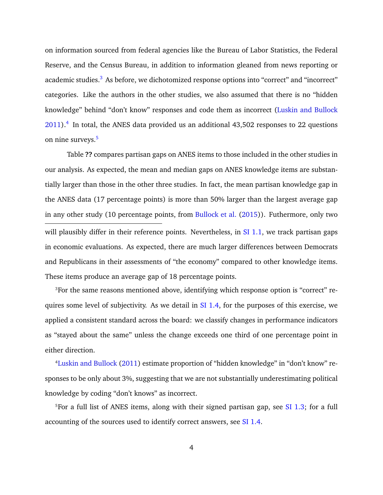on information sourced from federal agencies like the Bureau of Labor Statistics, the Federal Reserve, and the Census Bureau, in addition to information gleaned from news reporting or academic studies.<sup>[3](#page-0-0)</sup> As before, we dichotomized response options into "correct" and "incorrect" categories. Like the authors in the other studies, we also assumed that there is no "hidden knowledge" behind "don't know" responses and code them as incorrect [\(Luskin and Bullock](#page-12-4)  $2011$ ).<sup>[4](#page-0-0)</sup> In total, the ANES data provided us an additional 43,502 responses to 22 questions on nine surveys.<sup>[5](#page-0-0)</sup>

Table **??** compares partisan gaps on ANES items to those included in the other studies in our analysis. As expected, the mean and median gaps on ANES knowledge items are substantially larger than those in the other three studies. In fact, the mean partisan knowledge gap in the ANES data (17 percentage points) is more than 50% larger than the largest average gap in any other study (10 percentage points, from [Bullock et al.](#page-11-0) [\(2015\)](#page-11-0)). Futhermore, only two will plausibly differ in their reference points. Nevertheless, in  $SI$  1.1, we track partisan gaps in economic evaluations. As expected, there are much larger differences between Democrats and Republicans in their assessments of "the economy" compared to other knowledge items. These items produce an average gap of 18 percentage points.

<sup>3</sup>For the same reasons mentioned above, identifying which response option is "correct" requires some level of subjectivity. As we detail in [SI 1.4,](#page-20-0) for the purposes of this exercise, we applied a consistent standard across the board: we classify changes in performance indicators as "stayed about the same" unless the change exceeds one third of one percentage point in either direction.

<sup>4</sup>[Luskin and Bullock](#page-12-4) [\(2011\)](#page-12-4) estimate proportion of "hidden knowledge" in "don't know" responses to be only about 3%, suggesting that we are not substantially underestimating political knowledge by coding "don't knows" as incorrect.

<sup>5</sup>For a full list of ANES items, along with their signed partisan gap, see  $SI$  1.3; for a full accounting of the sources used to identify correct answers, see [SI 1.4.](#page-20-0)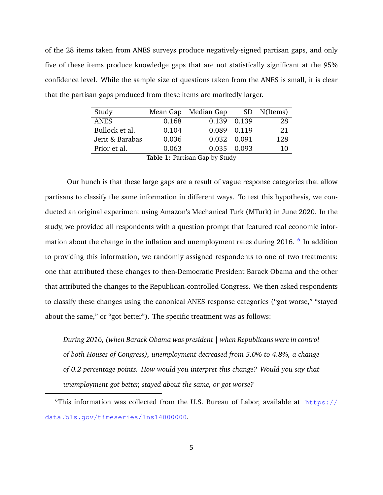of the 28 items taken from ANES surveys produce negatively-signed partisan gaps, and only five of these items produce knowledge gaps that are not statistically significant at the 95% confidence level. While the sample size of questions taken from the ANES is small, it is clear that the partisan gaps produced from these items are markedly larger.

| Study                                     |       | Mean Gap Median Gap |  | SD N(Items) |  |  |  |  |  |
|-------------------------------------------|-------|---------------------|--|-------------|--|--|--|--|--|
| <b>ANES</b>                               | 0.168 | 0.139 0.139         |  | 28          |  |  |  |  |  |
| Bullock et al.                            | 0.104 | 0.089 0.119         |  | 21          |  |  |  |  |  |
| Jerit & Barabas                           | 0.036 | 0.032 0.091         |  | 128         |  |  |  |  |  |
| Prior et al.                              | 0.063 | 0.035 0.093         |  | 10          |  |  |  |  |  |
| $m-1.1 - 1$ . $n-m+1$ . $n-m+1$ . $n+1$ . |       |                     |  |             |  |  |  |  |  |

**Table 1:** Partisan Gap by Study

Our hunch is that these large gaps are a result of vague response categories that allow partisans to classify the same information in different ways. To test this hypothesis, we conducted an original experiment using Amazon's Mechanical Turk (MTurk) in June 2020. In the study, we provided all respondents with a question prompt that featured real economic infor-mation about the change in the inflation and unemployment rates during 201[6](#page-0-0). <sup>6</sup> In addition to providing this information, we randomly assigned respondents to one of two treatments: one that attributed these changes to then-Democratic President Barack Obama and the other that attributed the changes to the Republican-controlled Congress. We then asked respondents to classify these changes using the canonical ANES response categories ("got worse," "stayed about the same," or "got better"). The specific treatment was as follows:

*During 2016, (when Barack Obama was president | when Republicans were in control of both Houses of Congress), unemployment decreased from 5.0% to 4.8%, a change of 0.2 percentage points. How would you interpret this change? Would you say that unemployment got better, stayed about the same, or got worse?*

 $6$ This information was collected from the U.S. Bureau of Labor, available at [https://](https://data.bls.gov/timeseries/lns14000000) [data.bls.gov/timeseries/lns14000000](https://data.bls.gov/timeseries/lns14000000).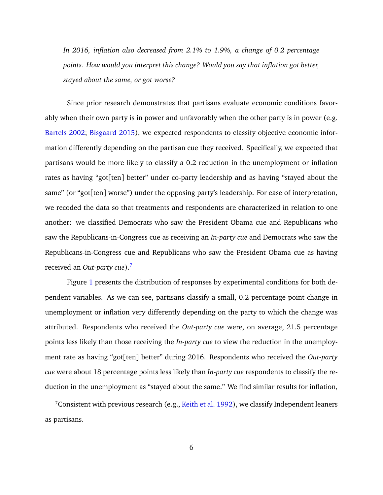*In 2016, inflation also decreased from 2.1% to 1.9%, a change of 0.2 percentage points. How would you interpret this change? Would you say that inflation got better, stayed about the same, or got worse?*

Since prior research demonstrates that partisans evaluate economic conditions favorably when their own party is in power and unfavorably when the other party is in power (e.g. [Bartels](#page-10-1) [2002;](#page-10-1) [Bisgaard](#page-11-4) [2015\)](#page-11-4), we expected respondents to classify objective economic information differently depending on the partisan cue they received. Specifically, we expected that partisans would be more likely to classify a 0.2 reduction in the unemployment or inflation rates as having "got[ten] better" under co-party leadership and as having "stayed about the same" (or "got[ten] worse") under the opposing party's leadership. For ease of interpretation, we recoded the data so that treatments and respondents are characterized in relation to one another: we classified Democrats who saw the President Obama cue and Republicans who saw the Republicans-in-Congress cue as receiving an *In-party cue* and Democrats who saw the Republicans-in-Congress cue and Republicans who saw the President Obama cue as having received an *Out-party cue*).[7](#page-0-0)

Figure [1](#page-7-0) presents the distribution of responses by experimental conditions for both dependent variables. As we can see, partisans classify a small, 0.2 percentage point change in unemployment or inflation very differently depending on the party to which the change was attributed. Respondents who received the *Out-party cue* were, on average, 21.5 percentage points less likely than those receiving the *In-party cue* to view the reduction in the unemployment rate as having "got[ten] better" during 2016. Respondents who received the *Out-party cue* were about 18 percentage points less likely than *In-party cue* respondents to classify the reduction in the unemployment as "stayed about the same." We find similar results for inflation,

<sup>&</sup>lt;sup>7</sup>Consistent with previous research (e.g., [Keith et al.](#page-12-5) [1992\)](#page-12-5), we classify Independent leaners as partisans.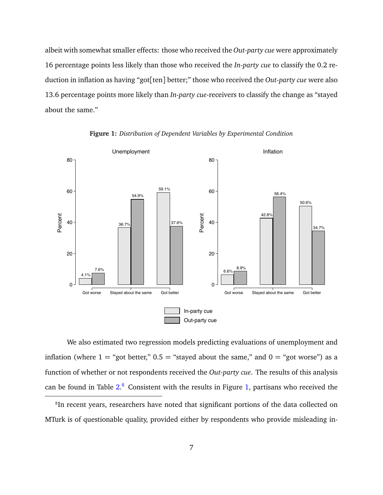albeit with somewhat smaller effects: those who received the *Out-party cue* were approximately 16 percentage points less likely than those who received the *In-party cue* to classify the 0.2 reduction in inflation as having "got[ten] better;" those who received the *Out-party cue* were also 13.6 percentage points more likely than *In-party cue*-receivers to classify the change as "stayed about the same."

<span id="page-7-0"></span>

**Figure 1:** *Distribution of Dependent Variables by Experimental Condition*

We also estimated two regression models predicting evaluations of unemployment and inflation (where  $1 =$  "got better,"  $0.5 =$  "stayed about the same," and  $0 =$  "got worse") as a function of whether or not respondents received the *Out-party cue*. The results of this analysis can be found in Table  $2.8$  $2.8$  Consistent with the results in Figure [1,](#page-7-0) partisans who received the

<sup>&</sup>lt;sup>8</sup>In recent years, researchers have noted that significant portions of the data collected on MTurk is of questionable quality, provided either by respondents who provide misleading in-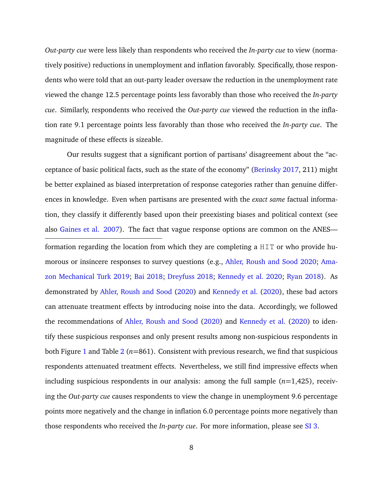*Out-party cue* were less likely than respondents who received the *In-party cue* to view (normatively positive) reductions in unemployment and inflation favorably. Specifically, those respondents who were told that an out-party leader oversaw the reduction in the unemployment rate viewed the change 12.5 percentage points less favorably than those who received the *In-party cue*. Similarly, respondents who received the *Out-party cue* viewed the reduction in the inflation rate 9.1 percentage points less favorably than those who received the *In-party cue*. The magnitude of these effects is sizeable.

Our results suggest that a significant portion of partisans' disagreement about the "acceptance of basic political facts, such as the state of the economy" [\(Berinsky](#page-11-6) [2017,](#page-11-6) 211) might be better explained as biased interpretation of response categories rather than genuine differences in knowledge. Even when partisans are presented with the *exact same* factual information, they classify it differently based upon their preexisting biases and political context (see also [Gaines et al.](#page-11-7) [2007\)](#page-11-7). The fact that vague response options are common on the ANES formation regarding the location from which they are completing a HIT or who provide humorous or insincere responses to survey questions (e.g., [Ahler, Roush and Sood](#page-10-3) [2020;](#page-10-3) [Ama](#page-10-4)[zon Mechanical Turk](#page-10-4) [2019;](#page-10-4) [Bai](#page-10-5) [2018;](#page-10-5) [Dreyfuss](#page-11-8) [2018;](#page-11-8) [Kennedy et al.](#page-12-6) [2020;](#page-12-6) [Ryan](#page-12-7) [2018\)](#page-12-7). As demonstrated by [Ahler, Roush and Sood](#page-10-3) [\(2020\)](#page-10-3) and [Kennedy et al.](#page-12-6) [\(2020\)](#page-12-6), these bad actors can attenuate treatment effects by introducing noise into the data. Accordingly, we followed the recommendations of [Ahler, Roush and Sood](#page-10-3) [\(2020\)](#page-10-3) and [Kennedy et al.](#page-12-6) [\(2020\)](#page-12-6) to identify these suspicious responses and only present results among non-suspicious respondents in both Figure [1](#page-7-0) and Table [2](#page-9-0) ( $n=861$ ). Consistent with previous research, we find that suspicious respondents attenuated treatment effects. Nevertheless, we still find impressive effects when including suspicious respondents in our analysis: among the full sample (*n*=1,425), receiving the *Out-party cue* causes respondents to view the change in unemployment 9.6 percentage points more negatively and the change in inflation 6.0 percentage points more negatively than those respondents who received the *In-party cue*. For more information, please see [SI 3.](#page-26-0)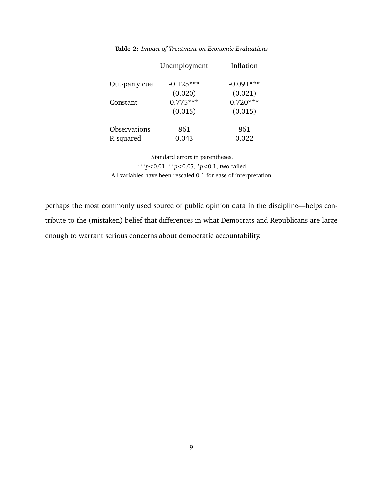<span id="page-9-0"></span>

|                     | Unemployment | Inflation   |
|---------------------|--------------|-------------|
|                     |              |             |
| Out-party cue       | $-0.125***$  | $-0.091***$ |
|                     | (0.020)      | (0.021)     |
| Constant            | $0.775***$   | $0.720***$  |
|                     | (0.015)      | (0.015)     |
|                     |              |             |
| <b>Observations</b> | 861          | 861         |
| R-squared           | 0.043        | 0.022       |

**Table 2:** *Impact of Treatment on Economic Evaluations*

Standard errors in parentheses. \*\*\**p<*0.01, \*\**p<*0.05, \**p<*0.1, two-tailed. All variables have been rescaled 0-1 for ease of interpretation.

perhaps the most commonly used source of public opinion data in the discipline—helps contribute to the (mistaken) belief that differences in what Democrats and Republicans are large enough to warrant serious concerns about democratic accountability.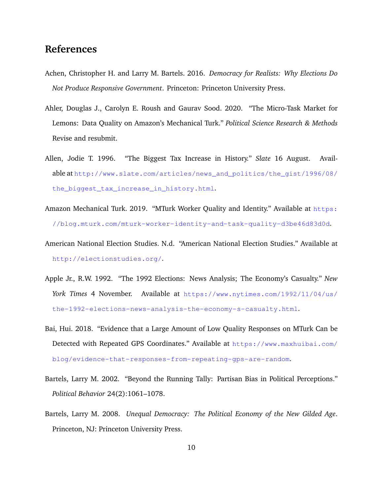## **References**

- <span id="page-10-2"></span>Achen, Christopher H. and Larry M. Bartels. 2016. *Democracy for Realists: Why Elections Do Not Produce Responsive Government*. Princeton: Princeton University Press.
- <span id="page-10-3"></span>Ahler, Douglas J., Carolyn E. Roush and Gaurav Sood. 2020. "The Micro-Task Market for Lemons: Data Quality on Amazon's Mechanical Turk." *Political Science Research & Methods* Revise and resubmit.
- <span id="page-10-8"></span>Allen, Jodie T. 1996. "The Biggest Tax Increase in History." *Slate* 16 August. Available at [http://www.slate.com/articles/news\\_and\\_politics/the\\_gist/1996/08/](http://www.slate.com/articles/news_and_politics/the_gist/1996/08/the_biggest_tax_increase_in_history.html) [the\\_biggest\\_tax\\_increase\\_in\\_history.html](http://www.slate.com/articles/news_and_politics/the_gist/1996/08/the_biggest_tax_increase_in_history.html).
- <span id="page-10-4"></span>Amazon Mechanical Turk. 2019. "MTurk Worker Quality and Identity." Available at [https:](https://blog.mturk.com/mturk-worker-identity-and-task-quality-d3be46d83d0d) [//blog.mturk.com/mturk-worker-identity-and-task-quality-d3be46d83d0d](https://blog.mturk.com/mturk-worker-identity-and-task-quality-d3be46d83d0d).
- <span id="page-10-0"></span>American National Election Studies. N.d. "American National Election Studies." Available at <http://electionstudies.org/>.
- <span id="page-10-6"></span>Apple Jr., R.W. 1992. "The 1992 Elections: News Analysis; The Economy's Casualty." *New York Times* 4 November. Available at [https://www.nytimes.com/1992/11/04/us/](https://www.nytimes.com/1992/11/04/us/the-1992-elections-news-analysis-the-economy-s-casualty.html) [the-1992-elections-news-analysis-the-economy-s-casualty.html](https://www.nytimes.com/1992/11/04/us/the-1992-elections-news-analysis-the-economy-s-casualty.html).
- <span id="page-10-5"></span>Bai, Hui. 2018. "Evidence that a Large Amount of Low Quality Responses on MTurk Can be Detected with Repeated GPS Coordinates." Available at [https://www.maxhuibai.com/](https://www.maxhuibai.com/blog/evidence-that-responses-from-repeating-gps-are-random) [blog/evidence-that-responses-from-repeating-gps-are-random](https://www.maxhuibai.com/blog/evidence-that-responses-from-repeating-gps-are-random).
- <span id="page-10-1"></span>Bartels, Larry M. 2002. "Beyond the Running Tally: Partisan Bias in Political Perceptions." *Political Behavior* 24(2):1061–1078.
- <span id="page-10-7"></span>Bartels, Larry M. 2008. *Unequal Democracy: The Political Economy of the New Gilded Age*. Princeton, NJ: Princeton University Press.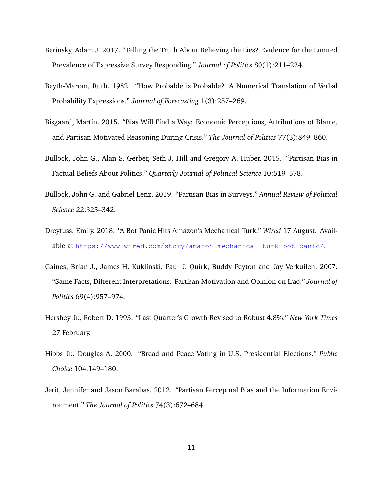- <span id="page-11-6"></span>Berinsky, Adam J. 2017. "Telling the Truth About Believing the Lies? Evidence for the Limited Prevalence of Expressive Survey Responding." *Journal of Politics* 80(1):211–224.
- <span id="page-11-3"></span>Beyth-Marom, Ruth. 1982. "How Probable is Probable? A Numerical Translation of Verbal Probability Expressions." *Journal of Forecasting* 1(3):257–269.
- <span id="page-11-4"></span>Bisgaard, Martin. 2015. "Bias Will Find a Way: Economic Perceptions, Attributions of Blame, and Partisan-Motivated Reasoning During Crisis." *The Journal of Politics* 77(3):849–860.
- <span id="page-11-0"></span>Bullock, John G., Alan S. Gerber, Seth J. Hill and Gregory A. Huber. 2015. "Partisan Bias in Factual Beliefs About Politics." *Quarterly Journal of Political Science* 10:519–578.
- <span id="page-11-2"></span>Bullock, John G. and Gabriel Lenz. 2019. "Partisan Bias in Surveys." *Annual Review of Political Science* 22:325–342.
- <span id="page-11-8"></span>Dreyfuss, Emily. 2018. "A Bot Panic Hits Amazon's Mechanical Turk." *Wired* 17 August. Available at <https://www.wired.com/story/amazon-mechanical-turk-bot-panic/>.
- <span id="page-11-7"></span>Gaines, Brian J., James H. Kuklinski, Paul J. Quirk, Buddy Peyton and Jay Verkuilen. 2007. "Same Facts, Different Interpretations: Partisan Motivation and Opinion on Iraq." *Journal of Politics* 69(4):957–974.
- <span id="page-11-9"></span>Hershey Jr., Robert D. 1993. "Last Quarter's Growth Revised to Robust 4.8%." *New York Times* 27 February.
- <span id="page-11-5"></span>Hibbs Jr., Douglas A. 2000. "Bread and Peace Voting in U.S. Presidential Elections." *Public Choice* 104:149–180.
- <span id="page-11-1"></span>Jerit, Jennifer and Jason Barabas. 2012. "Partisan Perceptual Bias and the Information Environment." *The Journal of Politics* 74(3):672–684.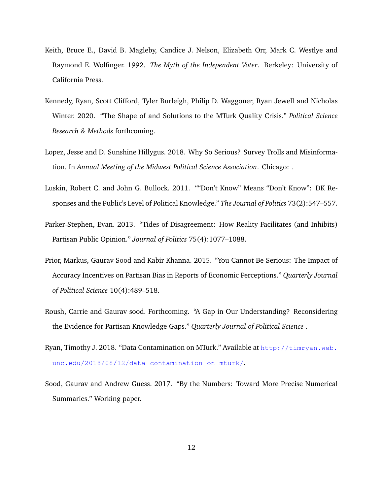- <span id="page-12-5"></span>Keith, Bruce E., David B. Magleby, Candice J. Nelson, Elizabeth Orr, Mark C. Westlye and Raymond E. Wolfinger. 1992. *The Myth of the Independent Voter*. Berkeley: University of California Press.
- <span id="page-12-6"></span>Kennedy, Ryan, Scott Clifford, Tyler Burleigh, Philip D. Waggoner, Ryan Jewell and Nicholas Winter. 2020. "The Shape of and Solutions to the MTurk Quality Crisis." *Political Science Research & Methods* forthcoming.
- <span id="page-12-8"></span>Lopez, Jesse and D. Sunshine Hillygus. 2018. Why So Serious? Survey Trolls and Misinformation. In *Annual Meeting of the Midwest Political Science Association*. Chicago: .
- <span id="page-12-4"></span>Luskin, Robert C. and John G. Bullock. 2011. ""Don't Know" Means "Don't Know": DK Responses and the Public's Level of Political Knowledge." *The Journal of Politics* 73(2):547–557.
- <span id="page-12-3"></span>Parker-Stephen, Evan. 2013. "Tides of Disagreement: How Reality Facilitates (and Inhibits) Partisan Public Opinion." *Journal of Politics* 75(4):1077–1088.
- <span id="page-12-1"></span>Prior, Markus, Gaurav Sood and Kabir Khanna. 2015. "You Cannot Be Serious: The Impact of Accuracy Incentives on Partisan Bias in Reports of Economic Perceptions." *Quarterly Journal of Political Science* 10(4):489–518.
- <span id="page-12-0"></span>Roush, Carrie and Gaurav sood. Forthcoming. "A Gap in Our Understanding? Reconsidering the Evidence for Partisan Knowledge Gaps." *Quarterly Journal of Political Science* .
- <span id="page-12-7"></span>Ryan, Timothy J. 2018. "Data Contamination on MTurk." Available at  $http://timryan.web.$ [unc.edu/2018/08/12/data-contamination-on-mturk/](http://timryan.web.unc.edu/2018/08/12/data-contamination-on-mturk/).
- <span id="page-12-2"></span>Sood, Gaurav and Andrew Guess. 2017. "By the Numbers: Toward More Precise Numerical Summaries." Working paper.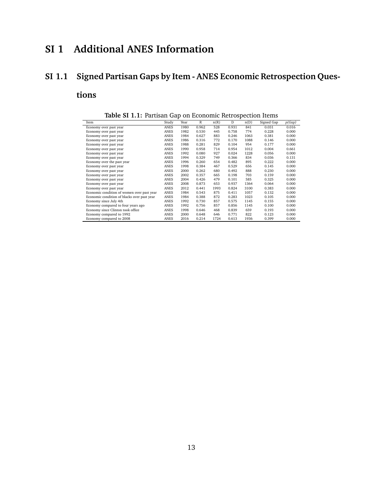## **SI 1 Additional ANES Information**

## <span id="page-13-0"></span>**SI 1.1 Signed Partisan Gaps by Item - ANES Economic Retrospection Ques-**

### **tions**

| $-$<br>on monitorino recento poeticin recento |             |      |             |      |       |      |            |        |
|-----------------------------------------------|-------------|------|-------------|------|-------|------|------------|--------|
| Item                                          | Study       | Year | $\mathbb R$ | n(R) | D     | n(D) | Signed Gap | p(Gap) |
| Economy over past year                        | ANES        | 1980 | 0.962       | 528  | 0.931 | 841  | 0.031      | 0.016  |
| Economy over past year                        | ANES        | 1982 | 0.530       | 445  | 0.758 | 774  | 0.228      | 0.000  |
| Economy over past year                        | ANES        | 1984 | 0.627       | 883  | 0.246 | 1063 | 0.381      | 0.000  |
| Economy over past year                        | <b>ANES</b> | 1986 | 0.316       | 772  | 0.170 | 1088 | 0.146      | 0.000  |
| Economy over past year                        | ANES        | 1988 | 0.281       | 829  | 0.104 | 954  | 0.177      | 0.000  |
| Economy over past year                        | <b>ANES</b> | 1990 | 0.958       | 714  | 0.954 | 1012 | 0.004      | 0.661  |
| Economy over past year                        | ANES        | 1992 | 0.080       | 927  | 0.024 | 1228 | 0.056      | 0.000  |
| Economy over past year                        | ANES        | 1994 | 0.329       | 749  | 0.366 | 834  | 0.036      | 0.131  |
| Economy over the past year                    | <b>ANES</b> | 1996 | 0.260       | 654  | 0.482 | 895  | 0.222      | 0.000  |
| Economy over past year                        | ANES        | 1998 | 0.384       | 467  | 0.529 | 656  | 0.145      | 0.000  |
| Economy over past year                        | <b>ANES</b> | 2000 | 0.262       | 680  | 0.492 | 888  | 0.230      | 0.000  |
| Economy over past year                        | ANES        | 2002 | 0.357       | 665  | 0.198 | 703  | 0.159      | 0.000  |
| Economy over past year                        | <b>ANES</b> | 2004 | 0.426       | 479  | 0.101 | 585  | 0.325      | 0.000  |
| Economy over past year                        | <b>ANES</b> | 2008 | 0.873       | 653  | 0.937 | 1364 | 0.064      | 0.000  |
| Economy over past year                        | ANES        | 2012 | 0.441       | 1993 | 0.824 | 3100 | 0.383      | 0.000  |
| Economic condition of women over past year    | ANES        | 1984 | 0.543       | 875  | 0.411 | 1057 | 0.132      | 0.000  |
| Economic condition of blacks over past year   | ANES        | 1984 | 0.388       | 872  | 0.283 | 1023 | 0.105      | 0.000  |
| Economy since July 4th                        | ANES        | 1992 | 0.730       | 857  | 0.575 | 1145 | 0.155      | 0.000  |
| Economy compared to four years ago            | <b>ANES</b> | 1992 | 0.756       | 857  | 0.856 | 1145 | 0.100      | 0.000  |
| Economy since Clinton took office             | ANES        | 1998 | 0.646       | 468  | 0.839 | 659  | 0.193      | 0.000  |
| Economy compared to 1992                      | ANES        | 2000 | 0.648       | 646  | 0.771 | 822  | 0.123      | 0.000  |
| Economy compared to 2008                      | ANES        | 2016 | 0.214       | 1724 | 0.613 | 1936 | 0.399      | 0.000  |

**Table SI 1.1:** Partisan Gap on Economic Retrospection Items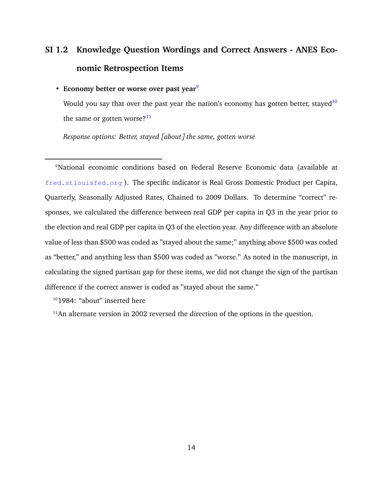# <span id="page-14-0"></span>**SI 1.2 Knowledge Question Wordings and Correct Answers - ANES Economic Retrospection Items**

#### • Economy better or worse over past year<sup>[9](#page-0-0)</sup>

Would you say that over the past year the nation's economy has gotten better, stayed<sup>[10](#page-0-0)</sup> the same or gotten worse? $11$ 

*Response options: Better, stayed [about] the same, gotten worse*

<sup>9</sup>National economic conditions based on Federal Reserve Economic data (available at <fred.stlouisfed.org> ). The specific indicator is Real Gross Domestic Product per Capita, Quarterly, Seasonally Adjusted Rates, Chained to 2009 Dollars. To determine "correct" responses, we calculated the difference between real GDP per capita in Q3 in the year prior to the election and real GDP per capita in Q3 of the election year. Any difference with an absolute value of less than \$500 was coded as "stayed about the same;" anything above \$500 was coded as "better," and anything less than \$500 was coded as "worse." As noted in the manuscript, in calculating the signed partisan gap for these items, we did not change the sign of the partisan difference if the correct answer is coded as "stayed about the same."

<sup>10</sup>1984: "about" inserted here

 $11$ An alternate version in 2002 reversed the direction of the options in the question.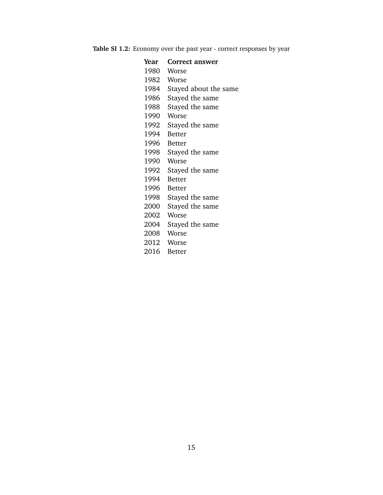**Table SI 1.2:** Economy over the past year - correct responses by year

| Year | <b>Correct answer</b> |
|------|-----------------------|
|      | 1980 Worse            |
|      | 1982 Worse            |
| 1984 | Stayed about the same |
| 1986 | Stayed the same       |
| 1988 | Stayed the same       |
| 1990 | Worse                 |
|      | 1992 Stayed the same  |
|      | 1994 Better           |
|      | 1996 Better           |
|      | 1998 Stayed the same  |
| 1990 | Worse                 |
|      | 1992 Stayed the same  |
|      | 1994 Better           |
|      | 1996 Better           |
|      | 1998 Stayed the same  |
| 2000 | Stayed the same       |
| 2002 | Worse                 |
|      | 2004 Stayed the same  |
|      | 2008 Worse            |
|      | 2012 Worse            |
|      | 2016 Better           |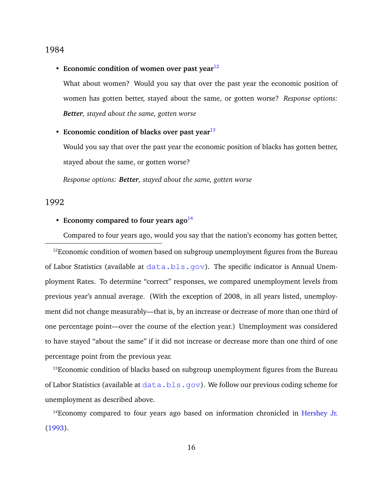#### 1984

• Economic condition of women over past year<sup>[12](#page-0-0)</sup>

What about women? Would you say that over the past year the economic position of women has gotten better, stayed about the same, or gotten worse? *Response options: Better, stayed about the same, gotten worse*

#### • **Economic condition of blacks over past year**<sup>[13](#page-0-0)</sup>

Would you say that over the past year the economic position of blacks has gotten better, stayed about the same, or gotten worse?

*Response options: Better, stayed about the same, gotten worse*

#### 1992

#### • **Economy compared to four years ago**<sup>[14](#page-0-0)</sup>

Compared to four years ago, would you say that the nation's economy has gotten better,

<sup>12</sup>Economic condition of women based on subgroup unemployment figures from the Bureau of Labor Statistics (available at  $data.bls.qov$ ). The specific indicator is Annual Unemployment Rates. To determine "correct" responses, we compared unemployment levels from previous year's annual average. (With the exception of 2008, in all years listed, unemployment did not change measurably—that is, by an increase or decrease of more than one third of one percentage point—over the course of the election year.) Unemployment was considered to have stayed "about the same" if it did not increase or decrease more than one third of one percentage point from the previous year.

<sup>13</sup>Economic condition of blacks based on subgroup unemployment figures from the Bureau of Labor Statistics (available at  $data.bls.qov$ ). We follow our previous coding scheme for unemployment as described above.

<sup>14</sup>Economy compared to four years ago based on information chronicled in [Hershey Jr.](#page-11-9) [\(1993\)](#page-11-9).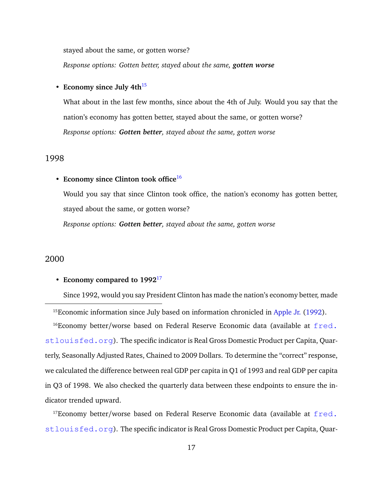stayed about the same, or gotten worse?

*Response options: Gotten better, stayed about the same, gotten worse*

#### • **Economy since July 4th**<sup>[15](#page-0-0)</sup>

What about in the last few months, since about the 4th of July. Would you say that the nation's economy has gotten better, stayed about the same, or gotten worse? *Response options: Gotten better, stayed about the same, gotten worse*

#### 1998

#### • **Economy since Clinton took office**[16](#page-0-0)

Would you say that since Clinton took office, the nation's economy has gotten better, stayed about the same, or gotten worse?

*Response options: Gotten better, stayed about the same, gotten worse*

#### 2000

#### • **Economy compared to 1992**[17](#page-0-0)

Since 1992, would you say President Clinton has made the nation's economy better, made

<sup>15</sup>Economic information since July based on information chronicled in [Apple Jr.](#page-10-6) [\(1992\)](#page-10-6).

 $16$ Economy better/worse based on Federal Reserve Economic data (available at  $fred.$ [stlouisfed.org](fred.stlouisfed.org)). The specific indicator is Real Gross Domestic Product per Capita, Quarterly, Seasonally Adjusted Rates, Chained to 2009 Dollars. To determine the "correct" response, we calculated the difference between real GDP per capita in Q1 of 1993 and real GDP per capita in Q3 of 1998. We also checked the quarterly data between these endpoints to ensure the indicator trended upward.

<sup>17</sup>Economy better/worse based on Federal Reserve Economic data (available at  $fred.$ [stlouisfed.org](fred.stlouisfed.org)). The specific indicator is Real Gross Domestic Product per Capita, Quar-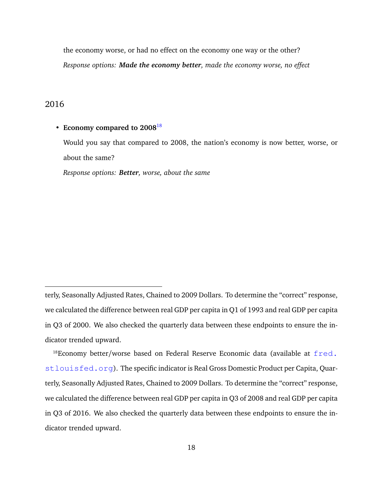the economy worse, or had no effect on the economy one way or the other? *Response options: Made the economy better, made the economy worse, no effect*

#### 2016

#### • **Economy compared to 2008**[18](#page-0-0)

Would you say that compared to 2008, the nation's economy is now better, worse, or about the same?

*Response options: Better, worse, about the same*

terly, Seasonally Adjusted Rates, Chained to 2009 Dollars. To determine the "correct" response, we calculated the difference between real GDP per capita in Q1 of 1993 and real GDP per capita in Q3 of 2000. We also checked the quarterly data between these endpoints to ensure the indicator trended upward.

 $18$ Economy better/worse based on Federal Reserve Economic data (available at  $fred.$ [stlouisfed.org](fred.stlouisfed.org)). The specific indicator is Real Gross Domestic Product per Capita, Quarterly, Seasonally Adjusted Rates, Chained to 2009 Dollars. To determine the "correct" response, we calculated the difference between real GDP per capita in Q3 of 2008 and real GDP per capita in Q3 of 2016. We also checked the quarterly data between these endpoints to ensure the indicator trended upward.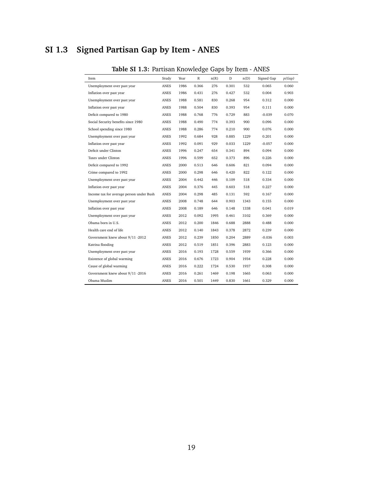## <span id="page-19-0"></span>**SI 1.3 Signed Partisan Gap by Item - ANES**

| apic 31 1.3. Fartisan Knowledge Gaps by Item - Arves |             |      |       |      |       |      |            |        |
|------------------------------------------------------|-------------|------|-------|------|-------|------|------------|--------|
| Item                                                 | Study       | Year | R     | n(R) | D     | n(D) | Signed Gap | p(Gap) |
| Unemployment over past year                          | ANES        | 1986 | 0.366 | 276  | 0.301 | 532  | 0.065      | 0.060  |
| Inflation over past year                             | ANES        | 1986 | 0.431 | 276  | 0.427 | 532  | 0.004      | 0.903  |
| Unemployment over past year                          | ANES        | 1988 | 0.581 | 830  | 0.268 | 954  | 0.312      | 0.000  |
| Inflation over past year                             | ANES        | 1988 | 0.504 | 830  | 0.393 | 954  | 0.111      | 0.000  |
| Deficit compared to 1980                             | <b>ANES</b> | 1988 | 0.768 | 776  | 0.729 | 883  | $-0.039$   | 0.070  |
| Social Security benefits since 1980                  | ANES        | 1988 | 0.490 | 774  | 0.393 | 900  | 0.096      | 0.000  |
| School spending since 1980                           | <b>ANES</b> | 1988 | 0.286 | 774  | 0.210 | 900  | 0.076      | 0.000  |
| Unemployment over past year                          | ANES        | 1992 | 0.684 | 928  | 0.885 | 1229 | 0.201      | 0.000  |
| Inflation over past year                             | <b>ANES</b> | 1992 | 0.091 | 929  | 0.033 | 1229 | $-0.057$   | 0.000  |
| Deficit under Clinton                                | ANES        | 1996 | 0.247 | 654  | 0.341 | 894  | 0.094      | 0.000  |
| Taxes under Clinton                                  | <b>ANES</b> | 1996 | 0.599 | 652  | 0.373 | 896  | 0.226      | 0.000  |
| Deficit compared to 1992                             | ANES        | 2000 | 0.513 | 646  | 0.606 | 821  | 0.094      | 0.000  |
| Crime compared to 1992                               | ANES        | 2000 | 0.298 | 646  | 0.420 | 822  | 0.122      | 0.000  |
| Unemployment over past year                          | ANES        | 2004 | 0.442 | 446  | 0.109 | 518  | 0.334      | 0.000  |
| Inflation over past year                             | <b>ANES</b> | 2004 | 0.376 | 445  | 0.603 | 518  | 0.227      | 0.000  |
| Income tax for average person under Bush             | ANES        | 2004 | 0.298 | 485  | 0.131 | 592  | 0.167      | 0.000  |
| Unemployment over past year                          | ANES        | 2008 | 0.748 | 644  | 0.903 | 1343 | 0.155      | 0.000  |
| Inflation over past year                             | ANES        | 2008 | 0.189 | 646  | 0.148 | 1338 | 0.041      | 0.019  |
| Unemployment over past year                          | ANES        | 2012 | 0.092 | 1995 | 0.461 | 3102 | 0.369      | 0.000  |
| Obama born in U.S.                                   | ANES        | 2012 | 0.200 | 1846 | 0.688 | 2888 | 0.488      | 0.000  |
| Health care end of life                              | ANES        | 2012 | 0.140 | 1843 | 0.378 | 2872 | 0.239      | 0.000  |
| Government knew about 9/11 -2012                     | ANES        | 2012 | 0.239 | 1850 | 0.204 | 2889 | $-0.036$   | 0.003  |
| Katrina flooding                                     | <b>ANES</b> | 2012 | 0.519 | 1851 | 0.396 | 2883 | 0.123      | 0.000  |
| Unemployment over past year                          | ANES        | 2016 | 0.193 | 1728 | 0.559 | 1939 | 0.366      | 0.000  |
| Existence of global warming                          | <b>ANES</b> | 2016 | 0.676 | 1723 | 0.904 | 1934 | 0.228      | 0.000  |
| Cause of global warming                              | ANES        | 2016 | 0.222 | 1724 | 0.530 | 1937 | 0.308      | 0.000  |
| Government knew about 9/11 -2016                     | <b>ANES</b> | 2016 | 0.261 | 1469 | 0.198 | 1665 | 0.063      | 0.000  |
| Obama Muslim                                         | ANES        | 2016 | 0.501 | 1449 | 0.830 | 1661 | 0.329      | 0.000  |

### **Table SI 1.3:** Partisan Knowledge Gaps by Item - ANES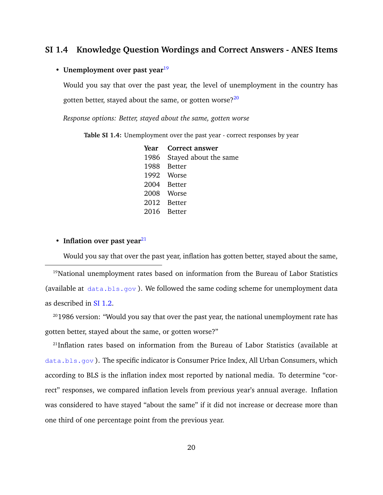### <span id="page-20-0"></span>**SI 1.4 Knowledge Question Wordings and Correct Answers - ANES Items**

#### • **Unemployment over past year**<sup>[19](#page-0-0)</sup>

Would you say that over the past year, the level of unemployment in the country has gotten better, stayed about the same, or gotten worse?<sup>[20](#page-0-0)</sup>

*Response options: Better, stayed about the same, gotten worse*

**Table SI 1.4:** Unemployment over the past year - correct responses by year

**Year Correct answer** 1986 Stayed about the same 1988 Better 1992 Worse 2004 Better 2008 Worse 2012 Better 2016 Better

• **Inflation over past year**<sup>[21](#page-0-0)</sup>

Would you say that over the past year, inflation has gotten better, stayed about the same,

<sup>19</sup>National unemployment rates based on information from the Bureau of Labor Statistics (available at  $data.bls.gov$ ). We followed the same coding scheme for unemployment data as described in [SI 1.2.](#page-14-0)

<sup>20</sup>1986 version: "Would you say that over the past year, the national unemployment rate has gotten better, stayed about the same, or gotten worse?"

<sup>21</sup>Inflation rates based on information from the Bureau of Labor Statistics (available at <data.bls.gov>). The specific indicator is Consumer Price Index, All Urban Consumers, which according to BLS is the inflation index most reported by national media. To determine "correct" responses, we compared inflation levels from previous year's annual average. Inflation was considered to have stayed "about the same" if it did not increase or decrease more than one third of one percentage point from the previous year.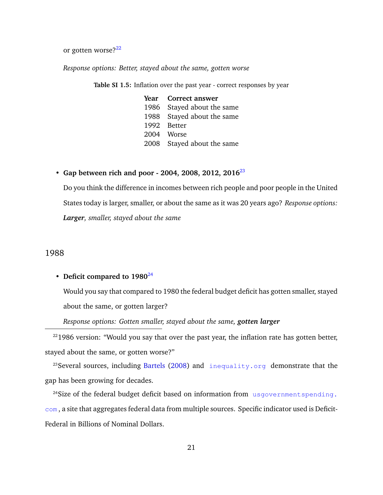or gotten worse? $22$ 

*Response options: Better, stayed about the same, gotten worse*

**Table SI 1.5:** Inflation over the past year - correct responses by year

| Year Correct answer        |
|----------------------------|
| 1986 Stayed about the same |
| 1988 Stayed about the same |
| 1992 Better                |
| 2004 Worse                 |
| 2008 Stayed about the same |

#### • **Gap between rich and poor - 2004, 2008, 2012, 2016**[23](#page-0-0)

Do you think the difference in incomes between rich people and poor people in the United States today is larger, smaller, or about the same as it was 20 years ago? *Response options: Larger, smaller, stayed about the same*

#### 1988

#### • Deficit compared to 1980<sup>[24](#page-0-0)</sup>

Would you say that compared to 1980 the federal budget deficit has gotten smaller, stayed about the same, or gotten larger?

*Response options: Gotten smaller, stayed about the same, gotten larger*

 $221986$  version: "Would you say that over the past year, the inflation rate has gotten better, stayed about the same, or gotten worse?"

<sup>23</sup>Several sources, including [Bartels](#page-10-7) [\(2008\)](#page-10-7) and <inequality.org> demonstrate that the gap has been growing for decades.

<sup>24</sup>Size of the federal budget deficit based on information from usgovernment spending. [com](usgovernmentspending.com) , a site that aggregates federal data from multiple sources. Specific indicator used is Deficit-Federal in Billions of Nominal Dollars.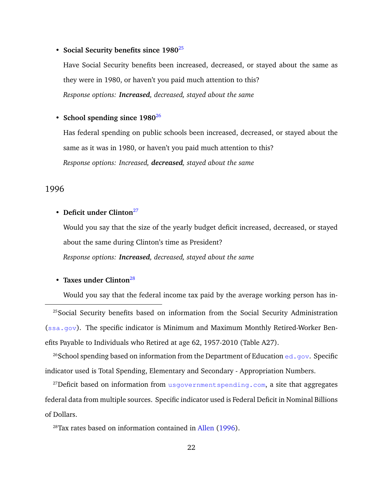#### • **Social Security benefits since 1980**[25](#page-0-0)

Have Social Security benefits been increased, decreased, or stayed about the same as they were in 1980, or haven't you paid much attention to this? *Response options: Increased, decreased, stayed about the same*

#### • **School spending since 1980**[26](#page-0-0)

Has federal spending on public schools been increased, decreased, or stayed about the same as it was in 1980, or haven't you paid much attention to this? *Response options: Increased, decreased, stayed about the same*

#### 1996

#### • **Deficit under Clinton**<sup>[27](#page-0-0)</sup>

Would you say that the size of the yearly budget deficit increased, decreased, or stayed about the same during Clinton's time as President? *Response options: Increased, decreased, stayed about the same*

#### • **Taxes under Clinton**[28](#page-0-0)

Would you say that the federal income tax paid by the average working person has in-

<sup>25</sup>Social Security benefits based on information from the Social Security Administration  $(ssa.gov)$  $(ssa.gov)$  $(ssa.gov)$ . The specific indicator is Minimum and Maximum Monthly Retired-Worker Benefits Payable to Individuals who Retired at age 62, 1957-2010 (Table A27).

<sup>26</sup>School spending based on information from the Department of Education <ed.gov>. Specific indicator used is Total Spending, Elementary and Secondary - Appropriation Numbers.

<sup>27</sup>Deficit based on information from <usgovernmentspending.com>, a site that aggregates federal data from multiple sources. Specific indicator used is Federal Deficit in Nominal Billions of Dollars.

<sup>28</sup>Tax rates based on information contained in [Allen](#page-10-8) [\(1996\)](#page-10-8).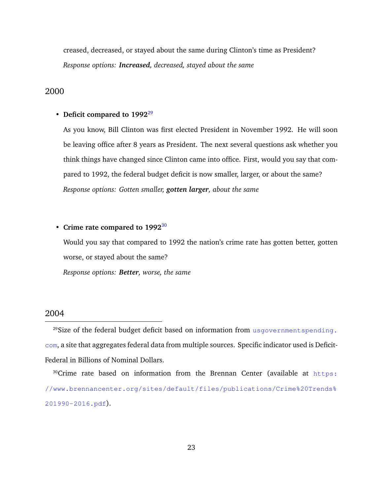creased, decreased, or stayed about the same during Clinton's time as President? *Response options: Increased, decreased, stayed about the same*

#### 2000

#### • Deficit compared to 1992<sup>[29](#page-0-0)</sup>

As you know, Bill Clinton was first elected President in November 1992. He will soon be leaving office after 8 years as President. The next several questions ask whether you think things have changed since Clinton came into office. First, would you say that compared to 1992, the federal budget deficit is now smaller, larger, or about the same? *Response options: Gotten smaller, gotten larger, about the same*

#### • **Crime rate compared to 1992**[30](#page-0-0)

Would you say that compared to 1992 the nation's crime rate has gotten better, gotten worse, or stayed about the same?

*Response options: Better, worse, the same*

#### 2004

<sup>29</sup>Size of the federal budget deficit based on information from usgovernment spending. [com](usgovernmentspending.com), a site that aggregates federal data from multiple sources. Specific indicator used is Deficit-Federal in Billions of Nominal Dollars.

<sup>30</sup>Crime rate based on information from the Brennan Center (available at [https:](https://www.brennancenter.org/sites/default/files/publications/Crime%20Trends%201990-2016.pdf) [//www.brennancenter.org/sites/default/files/publications/Crime%20Trends%](https://www.brennancenter.org/sites/default/files/publications/Crime%20Trends%201990-2016.pdf) [201990-2016.pdf](https://www.brennancenter.org/sites/default/files/publications/Crime%20Trends%201990-2016.pdf)).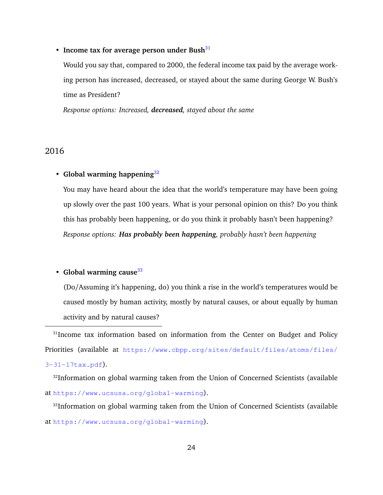#### • **Income tax for average person under Bush**<sup>[31](#page-0-0)</sup>

Would you say that, compared to 2000, the federal income tax paid by the average working person has increased, decreased, or stayed about the same during George W. Bush's time as President?

*Response options: Increased, decreased, stayed about the same*

#### 2016

#### • **Global warming happening**[32](#page-0-0)

You may have heard about the idea that the world's temperature may have been going up slowly over the past 100 years. What is your personal opinion on this? Do you think this has probably been happening, or do you think it probably hasn't been happening? *Response options: Has probably been happening, probably hasn't been happening*

#### • **Global warming cause**<sup>[33](#page-0-0)</sup>

(Do/Assuming it's happening, do) you think a rise in the world's temperatures would be caused mostly by human activity, mostly by natural causes, or about equally by human activity and by natural causes?

<sup>31</sup>Income tax information based on information from the Center on Budget and Policy Priorities (available at [https://www.cbpp.org/sites/default/files/atoms/files/](https://www.cbpp.org/sites/default/files/atoms/files/3-31-17tax.pdf) [3-31-17tax.pdf](https://www.cbpp.org/sites/default/files/atoms/files/3-31-17tax.pdf)).

<sup>32</sup>Information on global warming taken from the Union of Concerned Scientists (available at <https://www.ucsusa.org/global-warming>).

<sup>33</sup>Information on global warming taken from the Union of Concerned Scientists (available at <https://www.ucsusa.org/global-warming>).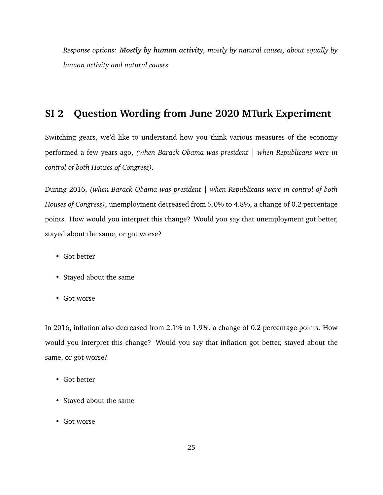*Response options: Mostly by human activity, mostly by natural causes, about equally by human activity and natural causes*

## **SI 2 Question Wording from June 2020 MTurk Experiment**

Switching gears, we'd like to understand how you think various measures of the economy performed a few years ago, *(when Barack Obama was president | when Republicans were in control of both Houses of Congress).*

During 2016, *(when Barack Obama was president | when Republicans were in control of both Houses of Congress)*, unemployment decreased from 5.0% to 4.8%, a change of 0.2 percentage points. How would you interpret this change? Would you say that unemployment got better, stayed about the same, or got worse?

- Got better
- Stayed about the same
- Got worse

In 2016, inflation also decreased from 2.1% to 1.9%, a change of 0.2 percentage points. How would you interpret this change? Would you say that inflation got better, stayed about the same, or got worse?

- Got better
- Stayed about the same
- Got worse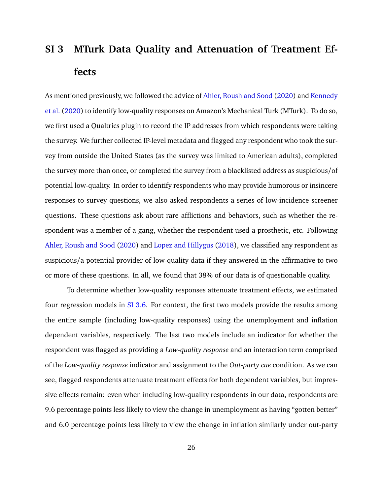# <span id="page-26-0"></span>**SI 3 MTurk Data Quality and Attenuation of Treatment Effects**

As mentioned previously, we followed the advice of [Ahler, Roush and Sood](#page-10-3) [\(2020\)](#page-10-3) and [Kennedy](#page-12-6) [et al.](#page-12-6) [\(2020\)](#page-12-6) to identify low-quality responses on Amazon's Mechanical Turk (MTurk). To do so, we first used a Qualtrics plugin to record the IP addresses from which respondents were taking the survey. We further collected IP-level metadata and flagged any respondent who took the survey from outside the United States (as the survey was limited to American adults), completed the survey more than once, or completed the survey from a blacklisted address as suspicious/of potential low-quality. In order to identify respondents who may provide humorous or insincere responses to survey questions, we also asked respondents a series of low-incidence screener questions. These questions ask about rare afflictions and behaviors, such as whether the respondent was a member of a gang, whether the respondent used a prosthetic, etc. Following [Ahler, Roush and Sood](#page-10-3) [\(2020\)](#page-10-3) and [Lopez and Hillygus](#page-12-8) [\(2018\)](#page-12-8), we classified any respondent as suspicious/a potential provider of low-quality data if they answered in the affirmative to two or more of these questions. In all, we found that 38% of our data is of questionable quality.

To determine whether low-quality responses attenuate treatment effects, we estimated four regression models in [SI 3.6.](#page-27-0) For context, the first two models provide the results among the entire sample (including low-quality responses) using the unemployment and inflation dependent variables, respectively. The last two models include an indicator for whether the respondent was flagged as providing a *Low-quality response* and an interaction term comprised of the *Low-quality response* indicator and assignment to the *Out-party cue* condition. As we can see, flagged respondents attenuate treatment effects for both dependent variables, but impressive effects remain: even when including low-quality respondents in our data, respondents are 9.6 percentage points less likely to view the change in unemployment as having "gotten better" and 6.0 percentage points less likely to view the change in inflation similarly under out-party